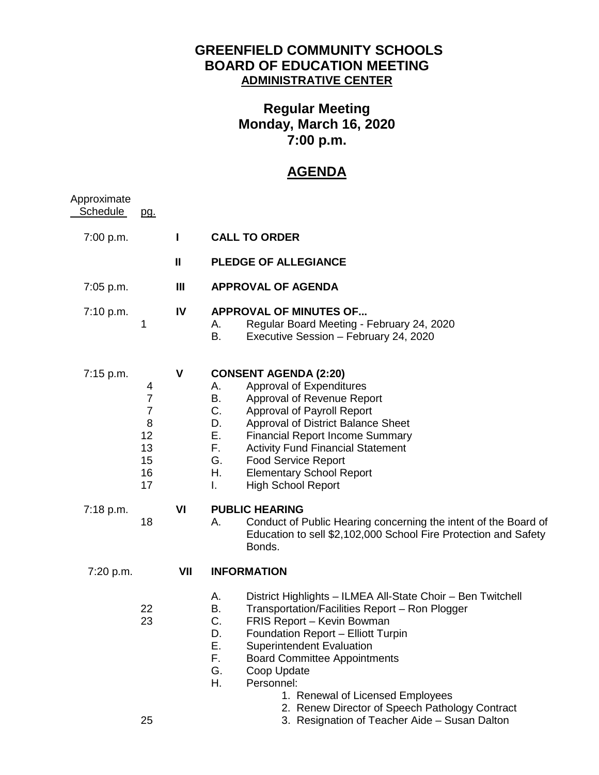## **GREENFIELD COMMUNITY SCHOOLS BOARD OF EDUCATION MEETING ADMINISTRATIVE CENTER**

## **Regular Meeting Monday, March 16, 2020 7:00 p.m.**

## **AGENDA**

| Approximate<br><b>Schedule</b> | pg.                                                                      |                |                                                                                                                                                                                                                                                                                                                                                                                                      |
|--------------------------------|--------------------------------------------------------------------------|----------------|------------------------------------------------------------------------------------------------------------------------------------------------------------------------------------------------------------------------------------------------------------------------------------------------------------------------------------------------------------------------------------------------------|
| 7:00 p.m.                      |                                                                          | I              | <b>CALL TO ORDER</b>                                                                                                                                                                                                                                                                                                                                                                                 |
|                                |                                                                          | $\mathbf{u}$   | <b>PLEDGE OF ALLEGIANCE</b>                                                                                                                                                                                                                                                                                                                                                                          |
| 7:05 p.m.                      |                                                                          | $\mathbf{III}$ | <b>APPROVAL OF AGENDA</b>                                                                                                                                                                                                                                                                                                                                                                            |
| 7:10 p.m.                      | 1                                                                        | IV             | <b>APPROVAL OF MINUTES OF</b><br>Regular Board Meeting - February 24, 2020<br>А.<br>Executive Session - February 24, 2020<br>В.                                                                                                                                                                                                                                                                      |
| 7:15 p.m.                      | 4<br>$\overline{7}$<br>$\overline{7}$<br>8<br>12<br>13<br>15<br>16<br>17 | V              | <b>CONSENT AGENDA (2:20)</b><br>Approval of Expenditures<br>Α.<br>Approval of Revenue Report<br>В.<br>C.<br>Approval of Payroll Report<br>Approval of District Balance Sheet<br>D.<br>Е.<br><b>Financial Report Income Summary</b><br>F.<br><b>Activity Fund Financial Statement</b><br>G.<br><b>Food Service Report</b><br>Η.<br><b>Elementary School Report</b><br><b>High School Report</b><br>I. |
| 7:18 p.m.                      | 18                                                                       | VI             | <b>PUBLIC HEARING</b><br>Conduct of Public Hearing concerning the intent of the Board of<br>А.<br>Education to sell \$2,102,000 School Fire Protection and Safety<br>Bonds.                                                                                                                                                                                                                          |
| 7:20 p.m.                      |                                                                          | VII            | <b>INFORMATION</b>                                                                                                                                                                                                                                                                                                                                                                                   |
|                                | 22<br>23                                                                 |                | District Highlights - ILMEA All-State Choir - Ben Twitchell<br>А.<br>Transportation/Facilities Report - Ron Plogger<br>В.<br>C.<br>FRIS Report - Kevin Bowman<br>D.<br>Foundation Report - Elliott Turpin<br>Ε.<br><b>Superintendent Evaluation</b><br>F.<br><b>Board Committee Appointments</b><br>G.<br>Coop Update<br>Н.<br>Personnel:<br>1. Renewal of Licensed Employees                        |
|                                | 25                                                                       |                | 2. Renew Director of Speech Pathology Contract<br>3. Resignation of Teacher Aide - Susan Dalton                                                                                                                                                                                                                                                                                                      |